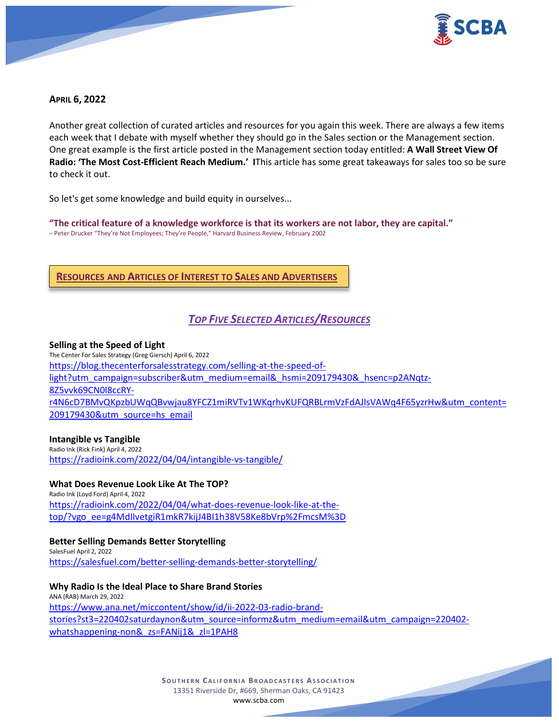

## **APRIL 6, 2022**

Another great collection of curated articles and resources for you again this week. There are always a few items each week that I debate with myself whether they should go in the Sales section or the Management section. One great example is the first article posted in the Management section today entitled: **A Wall Street View Of Radio: 'The Most Cost-Efficient Reach Medium.' I**This article has some great takeaways for sales too so be sure to check it out.

So let's get some knowledge and build equity in ourselves...

**"The critical feature of a knowledge workforce is that its workers are not labor, they are capital."**  – Peter Drucker "They're Not Employees; They're People," Harvard Business Review, February 2002

## **RESOURCES AND ARTICLES OF INTEREST TO SALES AND ADVERTISERS**

# *TOP FIVE SELECTED ARTICLES/RESOURCES*

#### **Selling at the Speed of Light**

The Center For Sales Strategy (Greg Giersch) April 6, 2022 [https://blog.thecenterforsalesstrategy.com/selling-at-the-speed-of](https://blog.thecenterforsalesstrategy.com/selling-at-the-speed-of-light?utm_campaign=subscriber&utm_medium=email&_hsmi=209179430&_hsenc=p2ANqtz-8Z5vvk69CN0l8ccRY-r4N6cD7BMvQKpzbUWqQBvwjau8YFCZ1miRVTv1WKqrhvKUFQRBLrmVzFdAJIsVAWq4F65yzrHw&utm_content=209179430&utm_source=hs_email)[light?utm\\_campaign=subscriber&utm\\_medium=email&\\_hsmi=209179430&\\_hsenc=p2ANqtz-](https://blog.thecenterforsalesstrategy.com/selling-at-the-speed-of-light?utm_campaign=subscriber&utm_medium=email&_hsmi=209179430&_hsenc=p2ANqtz-8Z5vvk69CN0l8ccRY-r4N6cD7BMvQKpzbUWqQBvwjau8YFCZ1miRVTv1WKqrhvKUFQRBLrmVzFdAJIsVAWq4F65yzrHw&utm_content=209179430&utm_source=hs_email)[8Z5vvk69CN0l8ccRY](https://blog.thecenterforsalesstrategy.com/selling-at-the-speed-of-light?utm_campaign=subscriber&utm_medium=email&_hsmi=209179430&_hsenc=p2ANqtz-8Z5vvk69CN0l8ccRY-r4N6cD7BMvQKpzbUWqQBvwjau8YFCZ1miRVTv1WKqrhvKUFQRBLrmVzFdAJIsVAWq4F65yzrHw&utm_content=209179430&utm_source=hs_email)[r4N6cD7BMvQKpzbUWqQBvwjau8YFCZ1miRVTv1WKqrhvKUFQRBLrmVzFdAJIsVAWq4F65yzrHw&utm\\_content=](https://blog.thecenterforsalesstrategy.com/selling-at-the-speed-of-light?utm_campaign=subscriber&utm_medium=email&_hsmi=209179430&_hsenc=p2ANqtz-8Z5vvk69CN0l8ccRY-r4N6cD7BMvQKpzbUWqQBvwjau8YFCZ1miRVTv1WKqrhvKUFQRBLrmVzFdAJIsVAWq4F65yzrHw&utm_content=209179430&utm_source=hs_email) [209179430&utm\\_source=hs\\_email](https://blog.thecenterforsalesstrategy.com/selling-at-the-speed-of-light?utm_campaign=subscriber&utm_medium=email&_hsmi=209179430&_hsenc=p2ANqtz-8Z5vvk69CN0l8ccRY-r4N6cD7BMvQKpzbUWqQBvwjau8YFCZ1miRVTv1WKqrhvKUFQRBLrmVzFdAJIsVAWq4F65yzrHw&utm_content=209179430&utm_source=hs_email)

#### **Intangible vs Tangible**

Radio Ink (Rick Fink) April 4, 2022 <https://radioink.com/2022/04/04/intangible-vs-tangible/>

## **What Does Revenue Look Like At The TOP?**

Radio Ink (Loyd Ford) April 4, 2022 [https://radioink.com/2022/04/04/what-does-revenue-look-like-at-the](https://radioink.com/2022/04/04/what-does-revenue-look-like-at-the-top/?vgo_ee=g4MdIIvetgiR1mkR7kijJ4BI1h38V58Ke8bVrp%2FmcsM%3D)[top/?vgo\\_ee=g4MdIIvetgiR1mkR7kijJ4BI1h38V58Ke8bVrp%2FmcsM%3D](https://radioink.com/2022/04/04/what-does-revenue-look-like-at-the-top/?vgo_ee=g4MdIIvetgiR1mkR7kijJ4BI1h38V58Ke8bVrp%2FmcsM%3D)

## **Better Selling Demands Better Storytelling**

SalesFuel April 2, 2022 <https://salesfuel.com/better-selling-demands-better-storytelling/>

**Why Radio Is the Ideal Place to Share Brand Stories** ANA (RAB) March 29, 2022 [https://www.ana.net/miccontent/show/id/ii-2022-03-radio-brand](https://www.ana.net/miccontent/show/id/ii-2022-03-radio-brand-stories?st3=220402saturdaynon&utm_source=informz&utm_medium=email&utm_campaign=220402-whatshappening-non&_zs=FANij1&_zl=1PAH8)[stories?st3=220402saturdaynon&utm\\_source=informz&utm\\_medium=email&utm\\_campaign=220402](https://www.ana.net/miccontent/show/id/ii-2022-03-radio-brand-stories?st3=220402saturdaynon&utm_source=informz&utm_medium=email&utm_campaign=220402-whatshappening-non&_zs=FANij1&_zl=1PAH8) [whatshappening-non&\\_zs=FANij1&\\_zl=1PAH8](https://www.ana.net/miccontent/show/id/ii-2022-03-radio-brand-stories?st3=220402saturdaynon&utm_source=informz&utm_medium=email&utm_campaign=220402-whatshappening-non&_zs=FANij1&_zl=1PAH8)

> **SOUTHERN C ALIFORNIA B ROADCASTERS ASSOCIATION** 13351 Riverside Dr, #669, Sherman Oaks, CA 91423 [www.scba.com](http://www.scba.com/)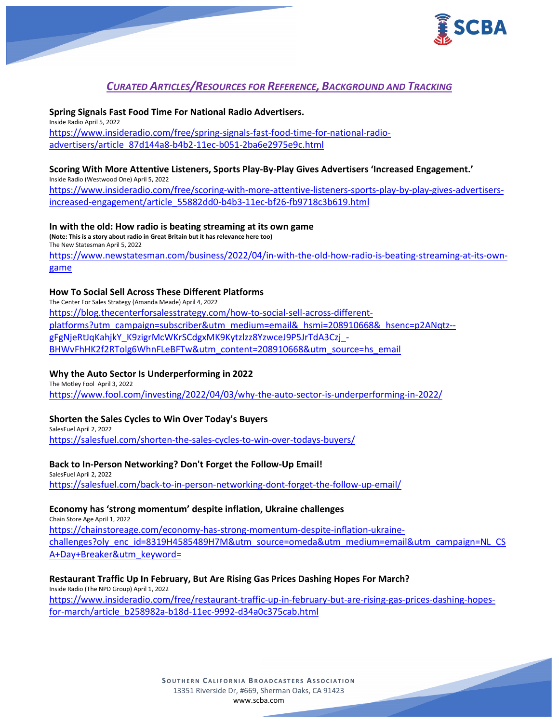

# *CURATED ARTICLES/RESOURCES FOR REFERENCE, BACKGROUND AND TRACKING*

**Spring Signals Fast Food Time For National Radio Advertisers.** Inside Radio April 5, 2022 [https://www.insideradio.com/free/spring-signals-fast-food-time-for-national-radio](https://www.insideradio.com/free/spring-signals-fast-food-time-for-national-radio-advertisers/article_87d144a8-b4b2-11ec-b051-2ba6e2975e9c.html)[advertisers/article\\_87d144a8-b4b2-11ec-b051-2ba6e2975e9c.html](https://www.insideradio.com/free/spring-signals-fast-food-time-for-national-radio-advertisers/article_87d144a8-b4b2-11ec-b051-2ba6e2975e9c.html)

## **Scoring With More Attentive Listeners, Sports Play-By-Play Gives Advertisers 'Increased Engagement.'**

Inside Radio (Westwood One) April 5, 2022 [https://www.insideradio.com/free/scoring-with-more-attentive-listeners-sports-play-by-play-gives-advertisers](https://www.insideradio.com/free/scoring-with-more-attentive-listeners-sports-play-by-play-gives-advertisers-increased-engagement/article_55882dd0-b4b3-11ec-bf26-fb9718c3b619.html)[increased-engagement/article\\_55882dd0-b4b3-11ec-bf26-fb9718c3b619.html](https://www.insideradio.com/free/scoring-with-more-attentive-listeners-sports-play-by-play-gives-advertisers-increased-engagement/article_55882dd0-b4b3-11ec-bf26-fb9718c3b619.html)

**In with the old: How radio is beating streaming at its own game (Note: This is a story about radio in Great Britain but it has relevance here too)** The New Statesman April 5, 2022 [https://www.newstatesman.com/business/2022/04/in-with-the-old-how-radio-is-beating-streaming-at-its-own](https://www.newstatesman.com/business/2022/04/in-with-the-old-how-radio-is-beating-streaming-at-its-own-game)[game](https://www.newstatesman.com/business/2022/04/in-with-the-old-how-radio-is-beating-streaming-at-its-own-game)

#### **How To Social Sell Across These Different Platforms**

The Center For Sales Strategy (Amanda Meade) April 4, 2022 [https://blog.thecenterforsalesstrategy.com/how-to-social-sell-across-different](https://blog.thecenterforsalesstrategy.com/how-to-social-sell-across-different-platforms?utm_campaign=subscriber&utm_medium=email&_hsmi=208910668&_hsenc=p2ANqtz--gFgNjeRtJqKahjkY_K9zigrMcWKrSCdgxMK9Kytzlzz8YzwceJ9P5JrTdA3Czj_-BHWvFhHK2f2RTolg6WhnFLeBFTw&utm_content=208910668&utm_source=hs_email)[platforms?utm\\_campaign=subscriber&utm\\_medium=email&\\_hsmi=208910668&\\_hsenc=p2ANqtz-](https://blog.thecenterforsalesstrategy.com/how-to-social-sell-across-different-platforms?utm_campaign=subscriber&utm_medium=email&_hsmi=208910668&_hsenc=p2ANqtz--gFgNjeRtJqKahjkY_K9zigrMcWKrSCdgxMK9Kytzlzz8YzwceJ9P5JrTdA3Czj_-BHWvFhHK2f2RTolg6WhnFLeBFTw&utm_content=208910668&utm_source=hs_email) [gFgNjeRtJqKahjkY\\_K9zigrMcWKrSCdgxMK9Kytzlzz8YzwceJ9P5JrTdA3Czj\\_-](https://blog.thecenterforsalesstrategy.com/how-to-social-sell-across-different-platforms?utm_campaign=subscriber&utm_medium=email&_hsmi=208910668&_hsenc=p2ANqtz--gFgNjeRtJqKahjkY_K9zigrMcWKrSCdgxMK9Kytzlzz8YzwceJ9P5JrTdA3Czj_-BHWvFhHK2f2RTolg6WhnFLeBFTw&utm_content=208910668&utm_source=hs_email) [BHWvFhHK2f2RTolg6WhnFLeBFTw&utm\\_content=208910668&utm\\_source=hs\\_email](https://blog.thecenterforsalesstrategy.com/how-to-social-sell-across-different-platforms?utm_campaign=subscriber&utm_medium=email&_hsmi=208910668&_hsenc=p2ANqtz--gFgNjeRtJqKahjkY_K9zigrMcWKrSCdgxMK9Kytzlzz8YzwceJ9P5JrTdA3Czj_-BHWvFhHK2f2RTolg6WhnFLeBFTw&utm_content=208910668&utm_source=hs_email)

## **Why the Auto Sector Is Underperforming in 2022**

The Motley Fool April 3, 2022 <https://www.fool.com/investing/2022/04/03/why-the-auto-sector-is-underperforming-in-2022/>

## **Shorten the Sales Cycles to Win Over Today's Buyers**

SalesFuel April 2, 2022 <https://salesfuel.com/shorten-the-sales-cycles-to-win-over-todays-buyers/>

#### **Back to In-Person Networking? Don't Forget the Follow-Up Email!**

SalesFuel April 2, 2022 <https://salesfuel.com/back-to-in-person-networking-dont-forget-the-follow-up-email/>

## **Economy has 'strong momentum' despite inflation, Ukraine challenges**

Chain Store Age April 1, 2022 [https://chainstoreage.com/economy-has-strong-momentum-despite-inflation-ukraine](https://chainstoreage.com/economy-has-strong-momentum-despite-inflation-ukraine-challenges?oly_enc_id=8319H4585489H7M&utm_source=omeda&utm_medium=email&utm_campaign=NL_CSA+Day+Breaker&utm_keyword=)[challenges?oly\\_enc\\_id=8319H4585489H7M&utm\\_source=omeda&utm\\_medium=email&utm\\_campaign=NL\\_CS](https://chainstoreage.com/economy-has-strong-momentum-despite-inflation-ukraine-challenges?oly_enc_id=8319H4585489H7M&utm_source=omeda&utm_medium=email&utm_campaign=NL_CSA+Day+Breaker&utm_keyword=) [A+Day+Breaker&utm\\_keyword=](https://chainstoreage.com/economy-has-strong-momentum-despite-inflation-ukraine-challenges?oly_enc_id=8319H4585489H7M&utm_source=omeda&utm_medium=email&utm_campaign=NL_CSA+Day+Breaker&utm_keyword=)

#### **Restaurant Traffic Up In February, But Are Rising Gas Prices Dashing Hopes For March?**

Inside Radio (The NPD Group) April 1, 2022 [https://www.insideradio.com/free/restaurant-traffic-up-in-february-but-are-rising-gas-prices-dashing-hopes](https://www.insideradio.com/free/restaurant-traffic-up-in-february-but-are-rising-gas-prices-dashing-hopes-for-march/article_b258982a-b18d-11ec-9992-d34a0c375cab.html)[for-march/article\\_b258982a-b18d-11ec-9992-d34a0c375cab.html](https://www.insideradio.com/free/restaurant-traffic-up-in-february-but-are-rising-gas-prices-dashing-hopes-for-march/article_b258982a-b18d-11ec-9992-d34a0c375cab.html)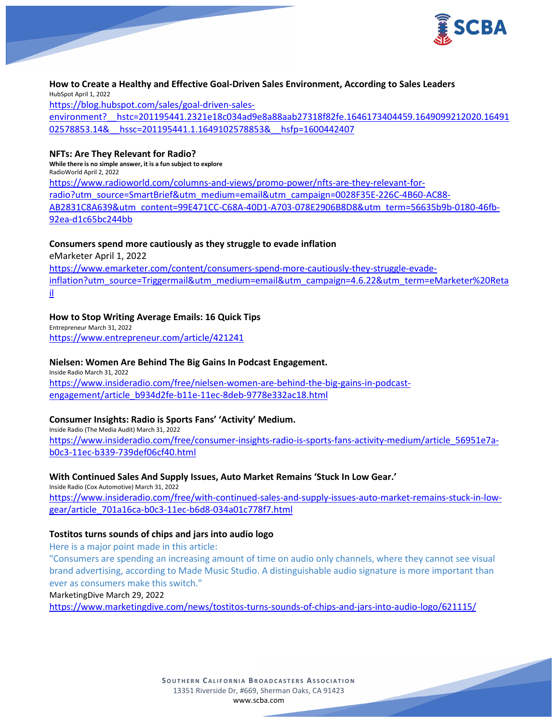

**How to Create a Healthy and Effective Goal-Driven Sales Environment, According to Sales Leaders** HubSpot April 1, 2022 [https://blog.hubspot.com/sales/goal-driven-sales](https://blog.hubspot.com/sales/goal-driven-sales-environment?__hstc=201195441.2321e18c034ad9e8a88aab27318f82fe.1646173404459.1649099212020.1649102578853.14&__hssc=201195441.1.1649102578853&__hsfp=1600442407)[environment?\\_\\_hstc=201195441.2321e18c034ad9e8a88aab27318f82fe.1646173404459.1649099212020.16491](https://blog.hubspot.com/sales/goal-driven-sales-environment?__hstc=201195441.2321e18c034ad9e8a88aab27318f82fe.1646173404459.1649099212020.1649102578853.14&__hssc=201195441.1.1649102578853&__hsfp=1600442407) 02578853.14& hssc=201195441.1.1649102578853& hsfp=1600442407

## **NFTs: Are They Relevant for Radio?**

**While there is no simple answer, it is a fun subject to explore** RadioWorld April 2, 2022 [https://www.radioworld.com/columns-and-views/promo-power/nfts-are-they-relevant-for](https://www.radioworld.com/columns-and-views/promo-power/nfts-are-they-relevant-for-radio?utm_source=SmartBrief&utm_medium=email&utm_campaign=0028F35E-226C-4B60-AC88-AB2831C8A639&utm_content=99E471CC-C68A-40D1-A703-078E2906B8D8&utm_term=56635b9b-0180-46fb-92ea-d1c65bc244bb)[radio?utm\\_source=SmartBrief&utm\\_medium=email&utm\\_campaign=0028F35E-226C-4B60-AC88-](https://www.radioworld.com/columns-and-views/promo-power/nfts-are-they-relevant-for-radio?utm_source=SmartBrief&utm_medium=email&utm_campaign=0028F35E-226C-4B60-AC88-AB2831C8A639&utm_content=99E471CC-C68A-40D1-A703-078E2906B8D8&utm_term=56635b9b-0180-46fb-92ea-d1c65bc244bb) [AB2831C8A639&utm\\_content=99E471CC-C68A-40D1-A703-078E2906B8D8&utm\\_term=56635b9b-0180-46fb-](https://www.radioworld.com/columns-and-views/promo-power/nfts-are-they-relevant-for-radio?utm_source=SmartBrief&utm_medium=email&utm_campaign=0028F35E-226C-4B60-AC88-AB2831C8A639&utm_content=99E471CC-C68A-40D1-A703-078E2906B8D8&utm_term=56635b9b-0180-46fb-92ea-d1c65bc244bb)[92ea-d1c65bc244bb](https://www.radioworld.com/columns-and-views/promo-power/nfts-are-they-relevant-for-radio?utm_source=SmartBrief&utm_medium=email&utm_campaign=0028F35E-226C-4B60-AC88-AB2831C8A639&utm_content=99E471CC-C68A-40D1-A703-078E2906B8D8&utm_term=56635b9b-0180-46fb-92ea-d1c65bc244bb)

#### **Consumers spend more cautiously as they struggle to evade inflation**

eMarketer April 1, 2022

[https://www.emarketer.com/content/consumers-spend-more-cautiously-they-struggle-evade](https://www.emarketer.com/content/consumers-spend-more-cautiously-they-struggle-evade-inflation?utm_source=Triggermail&utm_medium=email&utm_campaign=4.6.22&utm_term=eMarketer%20Retail)[inflation?utm\\_source=Triggermail&utm\\_medium=email&utm\\_campaign=4.6.22&utm\\_term=eMarketer%20Reta](https://www.emarketer.com/content/consumers-spend-more-cautiously-they-struggle-evade-inflation?utm_source=Triggermail&utm_medium=email&utm_campaign=4.6.22&utm_term=eMarketer%20Retail) [il](https://www.emarketer.com/content/consumers-spend-more-cautiously-they-struggle-evade-inflation?utm_source=Triggermail&utm_medium=email&utm_campaign=4.6.22&utm_term=eMarketer%20Retail)

## **How to Stop Writing Average Emails: 16 Quick Tips**

Entrepreneur March 31, 2022 <https://www.entrepreneur.com/article/421241>

## **Nielsen: Women Are Behind The Big Gains In Podcast Engagement.**

Inside Radio March 31, 2022 [https://www.insideradio.com/free/nielsen-women-are-behind-the-big-gains-in-podcast](https://www.insideradio.com/free/nielsen-women-are-behind-the-big-gains-in-podcast-engagement/article_b934d2fe-b11e-11ec-8deb-9778e332ac18.html)[engagement/article\\_b934d2fe-b11e-11ec-8deb-9778e332ac18.html](https://www.insideradio.com/free/nielsen-women-are-behind-the-big-gains-in-podcast-engagement/article_b934d2fe-b11e-11ec-8deb-9778e332ac18.html)

#### **Consumer Insights: Radio is Sports Fans' 'Activity' Medium.**

Inside Radio (The Media Audit) March 31, 2022 [https://www.insideradio.com/free/consumer-insights-radio-is-sports-fans-activity-medium/article\\_56951e7a](https://www.insideradio.com/free/consumer-insights-radio-is-sports-fans-activity-medium/article_56951e7a-b0c3-11ec-b339-739def06cf40.html)[b0c3-11ec-b339-739def06cf40.html](https://www.insideradio.com/free/consumer-insights-radio-is-sports-fans-activity-medium/article_56951e7a-b0c3-11ec-b339-739def06cf40.html)

#### **With Continued Sales And Supply Issues, Auto Market Remains 'Stuck In Low Gear.'**

Inside Radio (Cox Automotive) March 31, 2022 [https://www.insideradio.com/free/with-continued-sales-and-supply-issues-auto-market-remains-stuck-in-low](https://www.insideradio.com/free/with-continued-sales-and-supply-issues-auto-market-remains-stuck-in-low-gear/article_701a16ca-b0c3-11ec-b6d8-034a01c778f7.html)[gear/article\\_701a16ca-b0c3-11ec-b6d8-034a01c778f7.html](https://www.insideradio.com/free/with-continued-sales-and-supply-issues-auto-market-remains-stuck-in-low-gear/article_701a16ca-b0c3-11ec-b6d8-034a01c778f7.html)

#### **Tostitos turns sounds of chips and jars into audio logo**

Here is a major point made in this article:

"Consumers are spending an increasing amount of time on audio only channels, where they cannot see visual brand advertising, according to Made Music Studio. A distinguishable audio signature is more important than ever as consumers make this switch."

MarketingDive March 29, 2022

<https://www.marketingdive.com/news/tostitos-turns-sounds-of-chips-and-jars-into-audio-logo/621115/>

**SOUTHERN C ALIFORNIA B ROADCASTERS ASSOCIATION** 13351 Riverside Dr, #669, Sherman Oaks, CA 91423 [www.scba.com](http://www.scba.com/)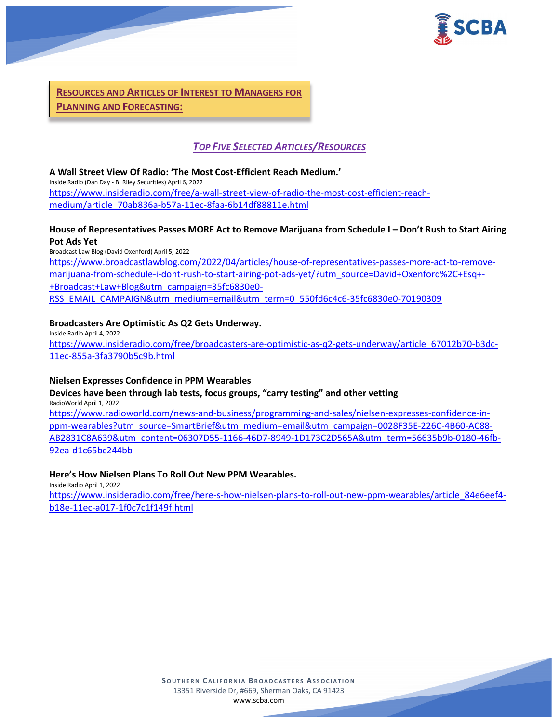

**RESOURCES AND ARTICLES OF INTEREST TO MANAGERS FOR PLANNING AND FORECASTING:**

## *TOP FIVE SELECTED ARTICLES/RESOURCES*

**A Wall Street View Of Radio: 'The Most Cost-Efficient Reach Medium.'** Inside Radio (Dan Day - B. Riley Securities) April 6, 2022 [https://www.insideradio.com/free/a-wall-street-view-of-radio-the-most-cost-efficient-reach](https://www.insideradio.com/free/a-wall-street-view-of-radio-the-most-cost-efficient-reach-medium/article_70ab836a-b57a-11ec-8faa-6b14df88811e.html)[medium/article\\_70ab836a-b57a-11ec-8faa-6b14df88811e.html](https://www.insideradio.com/free/a-wall-street-view-of-radio-the-most-cost-efficient-reach-medium/article_70ab836a-b57a-11ec-8faa-6b14df88811e.html)

## **House of Representatives Passes MORE Act to Remove Marijuana from Schedule I – Don't Rush to Start Airing Pot Ads Yet**

Broadcast Law Blog (David Oxenford) April 5, 2022 [https://www.broadcastlawblog.com/2022/04/articles/house-of-representatives-passes-more-act-to-remove](https://www.broadcastlawblog.com/2022/04/articles/house-of-representatives-passes-more-act-to-remove-marijuana-from-schedule-i-dont-rush-to-start-airing-pot-ads-yet/?utm_source=David+Oxenford%2C+Esq+-+Broadcast+Law+Blog&utm_campaign=35fc6830e0-RSS_EMAIL_CAMPAIGN&utm_medium=email&utm_term=0_550fd6c4c6-35fc6830e0-70190309)[marijuana-from-schedule-i-dont-rush-to-start-airing-pot-ads-yet/?utm\\_source=David+Oxenford%2C+Esq+-](https://www.broadcastlawblog.com/2022/04/articles/house-of-representatives-passes-more-act-to-remove-marijuana-from-schedule-i-dont-rush-to-start-airing-pot-ads-yet/?utm_source=David+Oxenford%2C+Esq+-+Broadcast+Law+Blog&utm_campaign=35fc6830e0-RSS_EMAIL_CAMPAIGN&utm_medium=email&utm_term=0_550fd6c4c6-35fc6830e0-70190309) [+Broadcast+Law+Blog&utm\\_campaign=35fc6830e0-](https://www.broadcastlawblog.com/2022/04/articles/house-of-representatives-passes-more-act-to-remove-marijuana-from-schedule-i-dont-rush-to-start-airing-pot-ads-yet/?utm_source=David+Oxenford%2C+Esq+-+Broadcast+Law+Blog&utm_campaign=35fc6830e0-RSS_EMAIL_CAMPAIGN&utm_medium=email&utm_term=0_550fd6c4c6-35fc6830e0-70190309) [RSS\\_EMAIL\\_CAMPAIGN&utm\\_medium=email&utm\\_term=0\\_550fd6c4c6-35fc6830e0-70190309](https://www.broadcastlawblog.com/2022/04/articles/house-of-representatives-passes-more-act-to-remove-marijuana-from-schedule-i-dont-rush-to-start-airing-pot-ads-yet/?utm_source=David+Oxenford%2C+Esq+-+Broadcast+Law+Blog&utm_campaign=35fc6830e0-RSS_EMAIL_CAMPAIGN&utm_medium=email&utm_term=0_550fd6c4c6-35fc6830e0-70190309)

## **Broadcasters Are Optimistic As Q2 Gets Underway.**

Inside Radio April 4, 2022 [https://www.insideradio.com/free/broadcasters-are-optimistic-as-q2-gets-underway/article\\_67012b70-b3dc-](https://www.insideradio.com/free/broadcasters-are-optimistic-as-q2-gets-underway/article_67012b70-b3dc-11ec-855a-3fa3790b5c9b.html)[11ec-855a-3fa3790b5c9b.html](https://www.insideradio.com/free/broadcasters-are-optimistic-as-q2-gets-underway/article_67012b70-b3dc-11ec-855a-3fa3790b5c9b.html)

#### **Nielsen Expresses Confidence in PPM Wearables**

#### **Devices have been through lab tests, focus groups, "carry testing" and other vetting** RadioWorld April 1, 2022

[https://www.radioworld.com/news-and-business/programming-and-sales/nielsen-expresses-confidence-in](https://www.radioworld.com/news-and-business/programming-and-sales/nielsen-expresses-confidence-in-ppm-wearables?utm_source=SmartBrief&utm_medium=email&utm_campaign=0028F35E-226C-4B60-AC88-AB2831C8A639&utm_content=06307D55-1166-46D7-8949-1D173C2D565A&utm_term=56635b9b-0180-46fb-92ea-d1c65bc244bb)[ppm-wearables?utm\\_source=SmartBrief&utm\\_medium=email&utm\\_campaign=0028F35E-226C-4B60-AC88-](https://www.radioworld.com/news-and-business/programming-and-sales/nielsen-expresses-confidence-in-ppm-wearables?utm_source=SmartBrief&utm_medium=email&utm_campaign=0028F35E-226C-4B60-AC88-AB2831C8A639&utm_content=06307D55-1166-46D7-8949-1D173C2D565A&utm_term=56635b9b-0180-46fb-92ea-d1c65bc244bb) [AB2831C8A639&utm\\_content=06307D55-1166-46D7-8949-1D173C2D565A&utm\\_term=56635b9b-0180-46fb-](https://www.radioworld.com/news-and-business/programming-and-sales/nielsen-expresses-confidence-in-ppm-wearables?utm_source=SmartBrief&utm_medium=email&utm_campaign=0028F35E-226C-4B60-AC88-AB2831C8A639&utm_content=06307D55-1166-46D7-8949-1D173C2D565A&utm_term=56635b9b-0180-46fb-92ea-d1c65bc244bb)[92ea-d1c65bc244bb](https://www.radioworld.com/news-and-business/programming-and-sales/nielsen-expresses-confidence-in-ppm-wearables?utm_source=SmartBrief&utm_medium=email&utm_campaign=0028F35E-226C-4B60-AC88-AB2831C8A639&utm_content=06307D55-1166-46D7-8949-1D173C2D565A&utm_term=56635b9b-0180-46fb-92ea-d1c65bc244bb)

#### **Here's How Nielsen Plans To Roll Out New PPM Wearables.**

Inside Radio April 1, 2022

[https://www.insideradio.com/free/here-s-how-nielsen-plans-to-roll-out-new-ppm-wearables/article\\_84e6eef4](https://www.insideradio.com/free/here-s-how-nielsen-plans-to-roll-out-new-ppm-wearables/article_84e6eef4-b18e-11ec-a017-1f0c7c1f149f.html) [b18e-11ec-a017-1f0c7c1f149f.html](https://www.insideradio.com/free/here-s-how-nielsen-plans-to-roll-out-new-ppm-wearables/article_84e6eef4-b18e-11ec-a017-1f0c7c1f149f.html)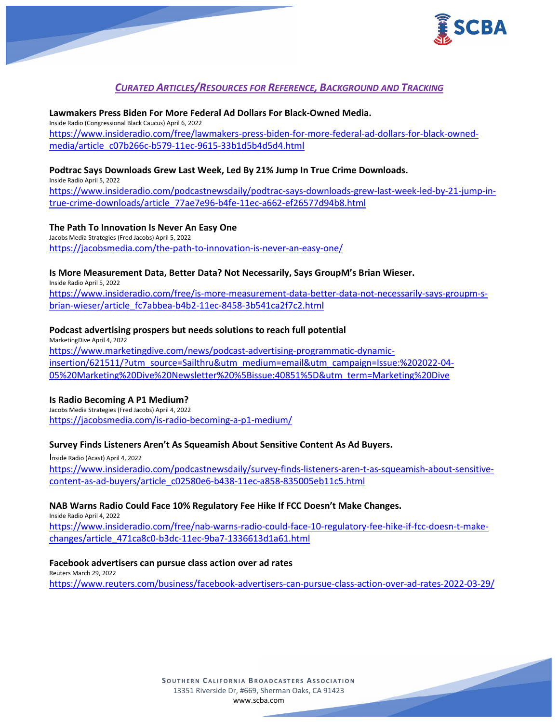

## *CURATED ARTICLES/RESOURCES FOR REFERENCE, BACKGROUND AND TRACKING*

**Lawmakers Press Biden For More Federal Ad Dollars For Black-Owned Media.** Inside Radio (Congressional Black Caucus) April 6, 2022 [https://www.insideradio.com/free/lawmakers-press-biden-for-more-federal-ad-dollars-for-black-owned](https://www.insideradio.com/free/lawmakers-press-biden-for-more-federal-ad-dollars-for-black-owned-media/article_c07b266c-b579-11ec-9615-33b1d5b4d5d4.html)[media/article\\_c07b266c-b579-11ec-9615-33b1d5b4d5d4.html](https://www.insideradio.com/free/lawmakers-press-biden-for-more-federal-ad-dollars-for-black-owned-media/article_c07b266c-b579-11ec-9615-33b1d5b4d5d4.html)

## **Podtrac Says Downloads Grew Last Week, Led By 21% Jump In True Crime Downloads.**

Inside Radio April 5, 2022 [https://www.insideradio.com/podcastnewsdaily/podtrac-says-downloads-grew-last-week-led-by-21-jump-in](https://www.insideradio.com/podcastnewsdaily/podtrac-says-downloads-grew-last-week-led-by-21-jump-in-true-crime-downloads/article_77ae7e96-b4fe-11ec-a662-ef26577d94b8.html)[true-crime-downloads/article\\_77ae7e96-b4fe-11ec-a662-ef26577d94b8.html](https://www.insideradio.com/podcastnewsdaily/podtrac-says-downloads-grew-last-week-led-by-21-jump-in-true-crime-downloads/article_77ae7e96-b4fe-11ec-a662-ef26577d94b8.html)

#### **The Path To Innovation Is Never An Easy One**

Jacobs Media Strategies (Fred Jacobs) April 5, 2022 <https://jacobsmedia.com/the-path-to-innovation-is-never-an-easy-one/>

## **Is More Measurement Data, Better Data? Not Necessarily, Says GroupM's Brian Wieser.**

Inside Radio April 5, 2022 [https://www.insideradio.com/free/is-more-measurement-data-better-data-not-necessarily-says-groupm-s](https://www.insideradio.com/free/is-more-measurement-data-better-data-not-necessarily-says-groupm-s-brian-wieser/article_fc7abbea-b4b2-11ec-8458-3b541ca2f7c2.html)[brian-wieser/article\\_fc7abbea-b4b2-11ec-8458-3b541ca2f7c2.html](https://www.insideradio.com/free/is-more-measurement-data-better-data-not-necessarily-says-groupm-s-brian-wieser/article_fc7abbea-b4b2-11ec-8458-3b541ca2f7c2.html)

## **Podcast advertising prospers but needs solutions to reach full potential**

MarketingDive April 4, 2022 [https://www.marketingdive.com/news/podcast-advertising-programmatic-dynamic](https://www.marketingdive.com/news/podcast-advertising-programmatic-dynamic-insertion/621511/?utm_source=Sailthru&utm_medium=email&utm_campaign=Issue:%202022-04-05%20Marketing%20Dive%20Newsletter%20%5Bissue:40851%5D&utm_term=Marketing%20Dive)[insertion/621511/?utm\\_source=Sailthru&utm\\_medium=email&utm\\_campaign=Issue:%202022-04-](https://www.marketingdive.com/news/podcast-advertising-programmatic-dynamic-insertion/621511/?utm_source=Sailthru&utm_medium=email&utm_campaign=Issue:%202022-04-05%20Marketing%20Dive%20Newsletter%20%5Bissue:40851%5D&utm_term=Marketing%20Dive) [05%20Marketing%20Dive%20Newsletter%20%5Bissue:40851%5D&utm\\_term=Marketing%20Dive](https://www.marketingdive.com/news/podcast-advertising-programmatic-dynamic-insertion/621511/?utm_source=Sailthru&utm_medium=email&utm_campaign=Issue:%202022-04-05%20Marketing%20Dive%20Newsletter%20%5Bissue:40851%5D&utm_term=Marketing%20Dive)

#### **Is Radio Becoming A P1 Medium?**

Jacobs Media Strategies (Fred Jacobs) April 4, 2022 <https://jacobsmedia.com/is-radio-becoming-a-p1-medium/>

#### **Survey Finds Listeners Aren't As Squeamish About Sensitive Content As Ad Buyers.**

Inside Radio (Acast) April 4, 2022 [https://www.insideradio.com/podcastnewsdaily/survey-finds-listeners-aren-t-as-squeamish-about-sensitive](https://www.insideradio.com/podcastnewsdaily/survey-finds-listeners-aren-t-as-squeamish-about-sensitive-content-as-ad-buyers/article_c02580e6-b438-11ec-a858-835005eb11c5.html)[content-as-ad-buyers/article\\_c02580e6-b438-11ec-a858-835005eb11c5.html](https://www.insideradio.com/podcastnewsdaily/survey-finds-listeners-aren-t-as-squeamish-about-sensitive-content-as-ad-buyers/article_c02580e6-b438-11ec-a858-835005eb11c5.html)

#### **NAB Warns Radio Could Face 10% Regulatory Fee Hike If FCC Doesn't Make Changes.**

Inside Radio April 4, 2022 [https://www.insideradio.com/free/nab-warns-radio-could-face-10-regulatory-fee-hike-if-fcc-doesn-t-make](https://www.insideradio.com/free/nab-warns-radio-could-face-10-regulatory-fee-hike-if-fcc-doesn-t-make-changes/article_471ca8c0-b3dc-11ec-9ba7-1336613d1a61.html)[changes/article\\_471ca8c0-b3dc-11ec-9ba7-1336613d1a61.html](https://www.insideradio.com/free/nab-warns-radio-could-face-10-regulatory-fee-hike-if-fcc-doesn-t-make-changes/article_471ca8c0-b3dc-11ec-9ba7-1336613d1a61.html)

#### **Facebook advertisers can pursue class action over ad rates**

Reuters March 29, 2022 <https://www.reuters.com/business/facebook-advertisers-can-pursue-class-action-over-ad-rates-2022-03-29/>

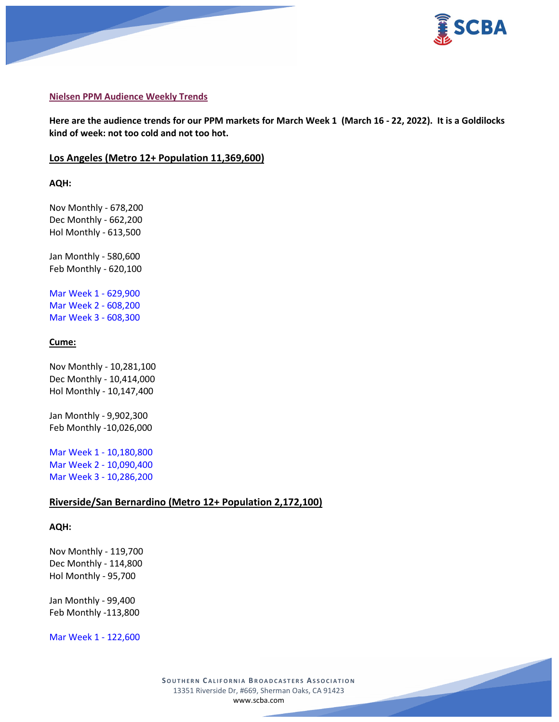



#### **Nielsen PPM Audience Weekly Trends**

**Here are the audience trends for our PPM markets for March Week 1 (March 16 - 22, 2022). It is a Goldilocks kind of week: not too cold and not too hot.**

#### **Los Angeles (Metro 12+ Population 11,369,600)**

**AQH:**

Nov Monthly - 678,200 Dec Monthly - 662,200 Hol Monthly - 613,500

Jan Monthly - 580,600 Feb Monthly - 620,100

Mar Week 1 - 629,900 Mar Week 2 - 608,200 Mar Week 3 - 608,300

#### **Cume:**

Nov Monthly - 10,281,100 Dec Monthly - 10,414,000 Hol Monthly - 10,147,400

Jan Monthly - 9,902,300 Feb Monthly -10,026,000

Mar Week 1 - 10,180,800 Mar Week 2 - 10,090,400 Mar Week 3 - 10,286,200

#### **Riverside/San Bernardino (Metro 12+ Population 2,172,100)**

#### **AQH:**

Nov Monthly - 119,700 Dec Monthly - 114,800 Hol Monthly - 95,700

Jan Monthly - 99,400 Feb Monthly -113,800

Mar Week 1 - 122,600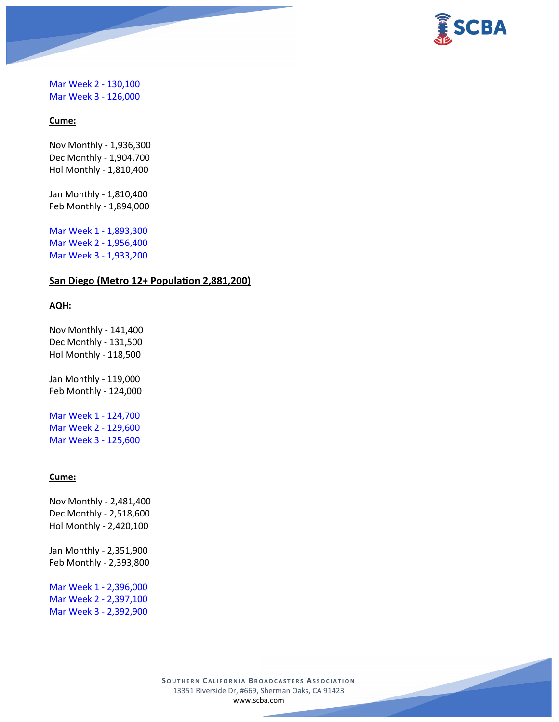

## Mar Week 2 - 130,100 Mar Week 3 - 126,000

## **Cume:**

Nov Monthly - 1,936,300 Dec Monthly - 1,904,700 Hol Monthly - 1,810,400

Jan Monthly - 1,810,400 Feb Monthly - 1,894,000

Mar Week 1 - 1,893,300 Mar Week 2 - 1,956,400 Mar Week 3 - 1,933,200

## **San Diego (Metro 12+ Population 2,881,200)**

## **AQH:**

Nov Monthly - 141,400 Dec Monthly - 131,500 Hol Monthly - 118,500

Jan Monthly - 119,000 Feb Monthly - 124,000

Mar Week 1 - 124,700 Mar Week 2 - 129,600 Mar Week 3 - 125,600

#### **Cume:**

Nov Monthly - 2,481,400 Dec Monthly - 2,518,600 Hol Monthly - 2,420,100 Jan Monthly - 2,351,900 Feb Monthly - 2,393,800

Mar Week 1 - 2,396,000 Mar Week 2 - 2,397,100 Mar Week 3 - 2,392,900